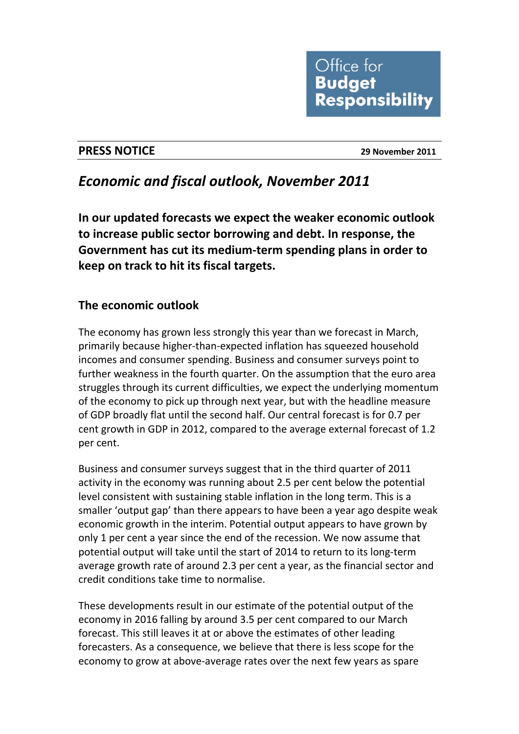

#### **PRESS NOTICE 29 November 2011**

# *Economic and fiscal outlook, November 2011*

**In our updated forecasts we expect the weaker economic outlook to increase public sector borrowing and debt. In response, the Government has cut its medium‐term spending plans in order to keep on track to hit its fiscal targets.** 

# **The economic outlook**

The economy has grown less strongly this year than we forecast in March, primarily because higher‐than‐expected inflation has squeezed household incomes and consumer spending. Business and consumer surveys point to further weakness in the fourth quarter. On the assumption that the euro area struggles through its current difficulties, we expect the underlying momentum of the economy to pick up through next year, but with the headline measure of GDP broadly flat until the second half. Our central forecast is for 0.7 per cent growth in GDP in 2012, compared to the average external forecast of 1.2 per cent.

Business and consumer surveys suggest that in the third quarter of 2011 activity in the economy was running about 2.5 per cent below the potential level consistent with sustaining stable inflation in the long term. This is a smaller 'output gap' than there appears to have been a year ago despite weak economic growth in the interim. Potential output appears to have grown by only 1 per cent a year since the end of the recession. We now assume that potential output will take until the start of 2014 to return to its long‐term average growth rate of around 2.3 per cent a year, as the financial sector and credit conditions take time to normalise.

These developments result in our estimate of the potential output of the economy in 2016 falling by around 3.5 per cent compared to our March forecast. This still leaves it at or above the estimates of other leading forecasters. As a consequence, we believe that there is less scope for the economy to grow at above‐average rates over the next few years as spare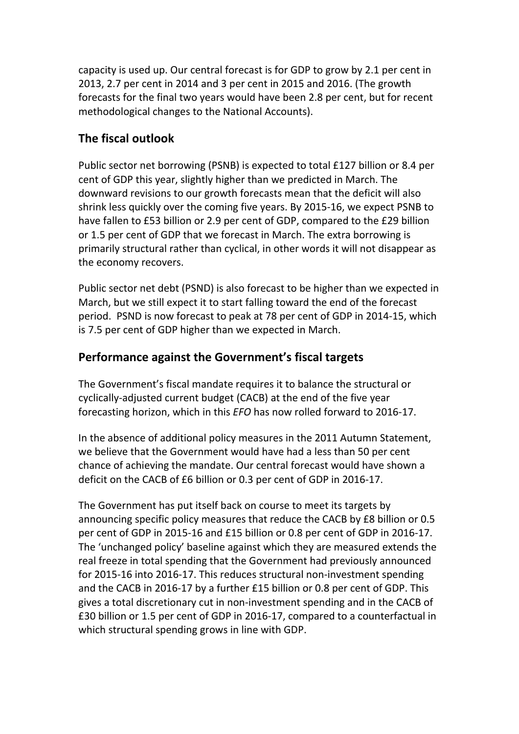capacity is used up. Our central forecast is for GDP to grow by 2.1 per cent in 2013, 2.7 per cent in 2014 and 3 per cent in 2015 and 2016. (The growth forecasts for the final two years would have been 2.8 per cent, but for recent methodological changes to the National Accounts).

## **The fiscal outlook**

Public sector net borrowing (PSNB) is expected to total £127 billion or 8.4 per cent of GDP this year, slightly higher than we predicted in March. The downward revisions to our growth forecasts mean that the deficit will also shrink less quickly over the coming five years. By 2015‐16, we expect PSNB to have fallen to £53 billion or 2.9 per cent of GDP, compared to the £29 billion or 1.5 per cent of GDP that we forecast in March. The extra borrowing is primarily structural rather than cyclical, in other words it will not disappear as the economy recovers.

Public sector net debt (PSND) is also forecast to be higher than we expected in March, but we still expect it to start falling toward the end of the forecast period. PSND is now forecast to peak at 78 per cent of GDP in 2014‐15, which is 7.5 per cent of GDP higher than we expected in March.

#### **Performance against the Government's fiscal targets**

The Government's fiscal mandate requires it to balance the structural or cyclically‐adjusted current budget (CACB) at the end of the five year forecasting horizon, which in this *EFO* has now rolled forward to 2016‐17.

In the absence of additional policy measures in the 2011 Autumn Statement, we believe that the Government would have had a less than 50 per cent chance of achieving the mandate. Our central forecast would have shown a deficit on the CACB of £6 billion or 0.3 per cent of GDP in 2016‐17.

The Government has put itself back on course to meet its targets by announcing specific policy measures that reduce the CACB by £8 billion or 0.5 per cent of GDP in 2015‐16 and £15 billion or 0.8 per cent of GDP in 2016‐17. The 'unchanged policy' baseline against which they are measured extends the real freeze in total spending that the Government had previously announced for 2015‐16 into 2016‐17. This reduces structural non‐investment spending and the CACB in 2016‐17 by a further £15 billion or 0.8 per cent of GDP. This gives a total discretionary cut in non‐investment spending and in the CACB of £30 billion or 1.5 per cent of GDP in 2016‐17, compared to a counterfactual in which structural spending grows in line with GDP.